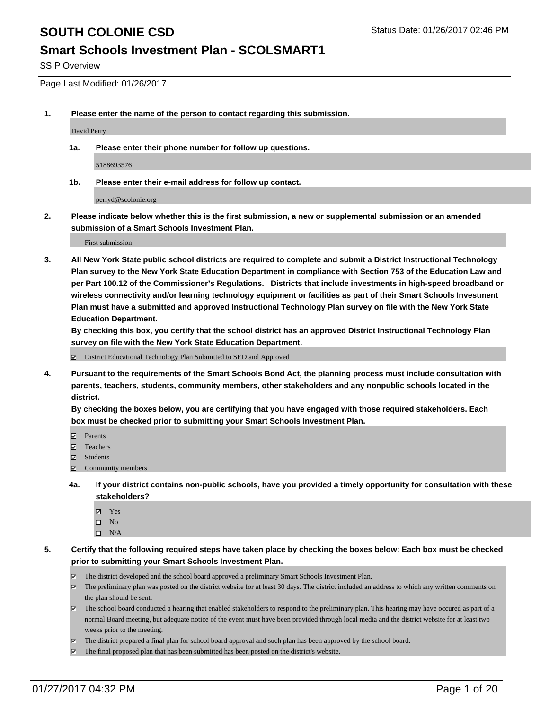SSIP Overview

Page Last Modified: 01/26/2017

**1. Please enter the name of the person to contact regarding this submission.**

David Perry

**1a. Please enter their phone number for follow up questions.**

5188693576

**1b. Please enter their e-mail address for follow up contact.**

perryd@scolonie.org

**2. Please indicate below whether this is the first submission, a new or supplemental submission or an amended submission of a Smart Schools Investment Plan.**

First submission

**3. All New York State public school districts are required to complete and submit a District Instructional Technology Plan survey to the New York State Education Department in compliance with Section 753 of the Education Law and per Part 100.12 of the Commissioner's Regulations. Districts that include investments in high-speed broadband or wireless connectivity and/or learning technology equipment or facilities as part of their Smart Schools Investment Plan must have a submitted and approved Instructional Technology Plan survey on file with the New York State Education Department.** 

**By checking this box, you certify that the school district has an approved District Instructional Technology Plan survey on file with the New York State Education Department.**

District Educational Technology Plan Submitted to SED and Approved

**4. Pursuant to the requirements of the Smart Schools Bond Act, the planning process must include consultation with parents, teachers, students, community members, other stakeholders and any nonpublic schools located in the district.** 

**By checking the boxes below, you are certifying that you have engaged with those required stakeholders. Each box must be checked prior to submitting your Smart Schools Investment Plan.**

- **Parents**
- Teachers
- **冈** Students
- Community members
- **4a. If your district contains non-public schools, have you provided a timely opportunity for consultation with these stakeholders?**
	- Yes
	- $\square$  No
	- $\square$  N/A
- **5. Certify that the following required steps have taken place by checking the boxes below: Each box must be checked prior to submitting your Smart Schools Investment Plan.**
	- The district developed and the school board approved a preliminary Smart Schools Investment Plan.
	- The preliminary plan was posted on the district website for at least 30 days. The district included an address to which any written comments on the plan should be sent.
	- The school board conducted a hearing that enabled stakeholders to respond to the preliminary plan. This hearing may have occured as part of a normal Board meeting, but adequate notice of the event must have been provided through local media and the district website for at least two weeks prior to the meeting.
	- The district prepared a final plan for school board approval and such plan has been approved by the school board.
	- $\boxtimes$  The final proposed plan that has been submitted has been posted on the district's website.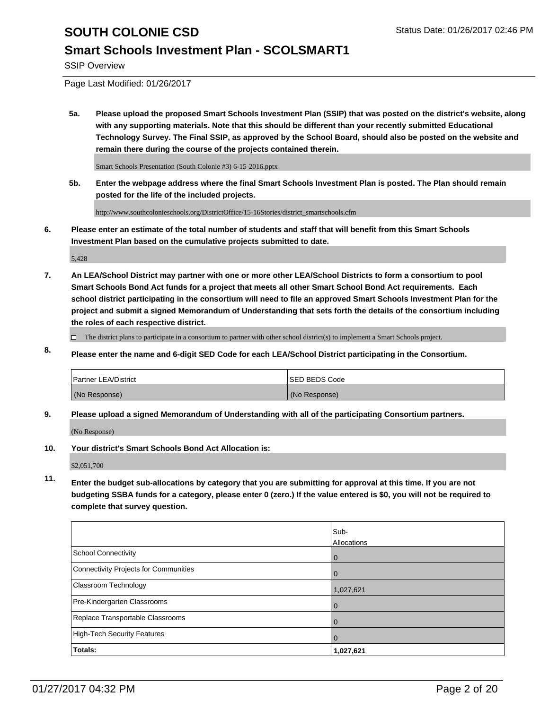### **Smart Schools Investment Plan - SCOLSMART1**

SSIP Overview

Page Last Modified: 01/26/2017

**5a. Please upload the proposed Smart Schools Investment Plan (SSIP) that was posted on the district's website, along with any supporting materials. Note that this should be different than your recently submitted Educational Technology Survey. The Final SSIP, as approved by the School Board, should also be posted on the website and remain there during the course of the projects contained therein.**

Smart Schools Presentation (South Colonie #3) 6-15-2016.pptx

**5b. Enter the webpage address where the final Smart Schools Investment Plan is posted. The Plan should remain posted for the life of the included projects.**

http://www.southcolonieschools.org/DistrictOffice/15-16Stories/district\_smartschools.cfm

**6. Please enter an estimate of the total number of students and staff that will benefit from this Smart Schools Investment Plan based on the cumulative projects submitted to date.**

5,428

- **7. An LEA/School District may partner with one or more other LEA/School Districts to form a consortium to pool Smart Schools Bond Act funds for a project that meets all other Smart School Bond Act requirements. Each school district participating in the consortium will need to file an approved Smart Schools Investment Plan for the project and submit a signed Memorandum of Understanding that sets forth the details of the consortium including the roles of each respective district.**
	- $\Box$  The district plans to participate in a consortium to partner with other school district(s) to implement a Smart Schools project.
- **8. Please enter the name and 6-digit SED Code for each LEA/School District participating in the Consortium.**

| <b>Partner LEA/District</b> | <b>ISED BEDS Code</b> |
|-----------------------------|-----------------------|
| (No Response)               | (No Response)         |

**9. Please upload a signed Memorandum of Understanding with all of the participating Consortium partners.**

(No Response)

**10. Your district's Smart Schools Bond Act Allocation is:**

\$2,051,700

**11. Enter the budget sub-allocations by category that you are submitting for approval at this time. If you are not budgeting SSBA funds for a category, please enter 0 (zero.) If the value entered is \$0, you will not be required to complete that survey question.**

|                                       | Sub-        |
|---------------------------------------|-------------|
|                                       | Allocations |
| School Connectivity                   |             |
| Connectivity Projects for Communities |             |
| <b>Classroom Technology</b>           | 1,027,621   |
| Pre-Kindergarten Classrooms           |             |
| Replace Transportable Classrooms      |             |
| High-Tech Security Features           |             |
| Totals:                               | 1,027,621   |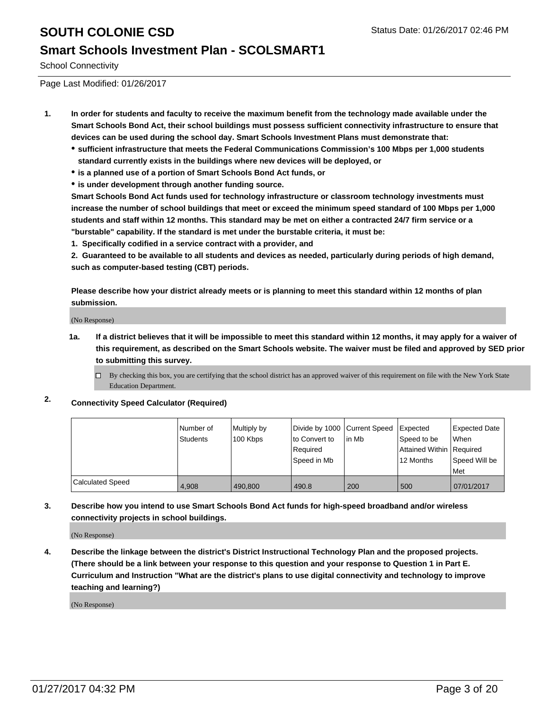### **Smart Schools Investment Plan - SCOLSMART1**

School Connectivity

Page Last Modified: 01/26/2017

- **1. In order for students and faculty to receive the maximum benefit from the technology made available under the Smart Schools Bond Act, their school buildings must possess sufficient connectivity infrastructure to ensure that devices can be used during the school day. Smart Schools Investment Plans must demonstrate that:**
	- **sufficient infrastructure that meets the Federal Communications Commission's 100 Mbps per 1,000 students standard currently exists in the buildings where new devices will be deployed, or**
	- **is a planned use of a portion of Smart Schools Bond Act funds, or**
	- **is under development through another funding source.**

**Smart Schools Bond Act funds used for technology infrastructure or classroom technology investments must increase the number of school buildings that meet or exceed the minimum speed standard of 100 Mbps per 1,000 students and staff within 12 months. This standard may be met on either a contracted 24/7 firm service or a "burstable" capability. If the standard is met under the burstable criteria, it must be:**

**1. Specifically codified in a service contract with a provider, and**

**2. Guaranteed to be available to all students and devices as needed, particularly during periods of high demand, such as computer-based testing (CBT) periods.**

**Please describe how your district already meets or is planning to meet this standard within 12 months of plan submission.**

(No Response)

**1a. If a district believes that it will be impossible to meet this standard within 12 months, it may apply for a waiver of this requirement, as described on the Smart Schools website. The waiver must be filed and approved by SED prior to submitting this survey.**

 $\Box$ By checking this box, you are certifying that the school district has an approved waiver of this requirement on file with the New York State Education Department.

**2. Connectivity Speed Calculator (Required)**

|                         | Number of<br>Students | Multiply by<br>100 Kbps | Divide by 1000 Current Speed<br>lto Convert to<br>Required<br>l Speed in Mb | lin Mb | Expected<br>Speed to be<br>Attained Within Required<br>12 Months | Expected Date<br><b>When</b><br>Speed Will be<br><b>Met</b> |
|-------------------------|-----------------------|-------------------------|-----------------------------------------------------------------------------|--------|------------------------------------------------------------------|-------------------------------------------------------------|
| <b>Calculated Speed</b> | 4.908                 | 490.800                 | 490.8                                                                       | 200    | 500                                                              | 07/01/2017                                                  |

**3. Describe how you intend to use Smart Schools Bond Act funds for high-speed broadband and/or wireless connectivity projects in school buildings.**

(No Response)

**4. Describe the linkage between the district's District Instructional Technology Plan and the proposed projects. (There should be a link between your response to this question and your response to Question 1 in Part E. Curriculum and Instruction "What are the district's plans to use digital connectivity and technology to improve teaching and learning?)**

(No Response)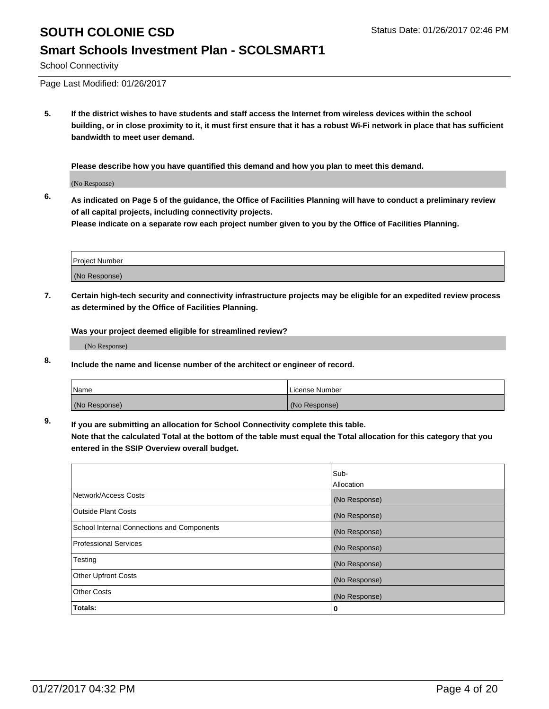### **Smart Schools Investment Plan - SCOLSMART1**

School Connectivity

Page Last Modified: 01/26/2017

**5. If the district wishes to have students and staff access the Internet from wireless devices within the school building, or in close proximity to it, it must first ensure that it has a robust Wi-Fi network in place that has sufficient bandwidth to meet user demand.**

**Please describe how you have quantified this demand and how you plan to meet this demand.**

(No Response)

**6. As indicated on Page 5 of the guidance, the Office of Facilities Planning will have to conduct a preliminary review of all capital projects, including connectivity projects.**

**Please indicate on a separate row each project number given to you by the Office of Facilities Planning.**

| Project Number |  |
|----------------|--|
| (No Response)  |  |

**7. Certain high-tech security and connectivity infrastructure projects may be eligible for an expedited review process as determined by the Office of Facilities Planning.**

**Was your project deemed eligible for streamlined review?**

(No Response)

**8. Include the name and license number of the architect or engineer of record.**

| <b>Name</b>   | License Number |
|---------------|----------------|
| (No Response) | (No Response)  |

**9. If you are submitting an allocation for School Connectivity complete this table.**

**Note that the calculated Total at the bottom of the table must equal the Total allocation for this category that you entered in the SSIP Overview overall budget.** 

|                                            | Sub-              |
|--------------------------------------------|-------------------|
|                                            | <b>Allocation</b> |
| Network/Access Costs                       | (No Response)     |
| <b>Outside Plant Costs</b>                 | (No Response)     |
| School Internal Connections and Components | (No Response)     |
| <b>Professional Services</b>               | (No Response)     |
| Testing                                    | (No Response)     |
| <b>Other Upfront Costs</b>                 | (No Response)     |
| <b>Other Costs</b>                         | (No Response)     |
| Totals:                                    | 0                 |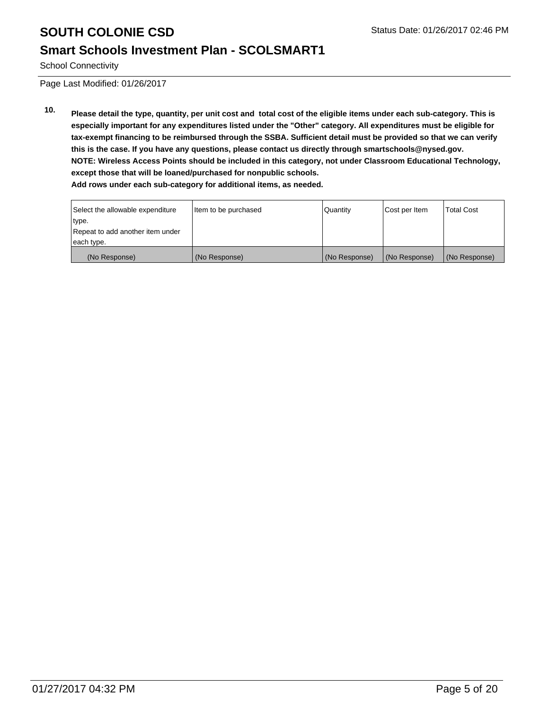## **Smart Schools Investment Plan - SCOLSMART1**

School Connectivity

Page Last Modified: 01/26/2017

**10. Please detail the type, quantity, per unit cost and total cost of the eligible items under each sub-category. This is especially important for any expenditures listed under the "Other" category. All expenditures must be eligible for tax-exempt financing to be reimbursed through the SSBA. Sufficient detail must be provided so that we can verify this is the case. If you have any questions, please contact us directly through smartschools@nysed.gov. NOTE: Wireless Access Points should be included in this category, not under Classroom Educational Technology, except those that will be loaned/purchased for nonpublic schools. Add rows under each sub-category for additional items, as needed.**

| Select the allowable expenditure | Item to be purchased | l Quantitv    | Cost per Item | <b>Total Cost</b> |
|----------------------------------|----------------------|---------------|---------------|-------------------|
| type.                            |                      |               |               |                   |
| Repeat to add another item under |                      |               |               |                   |
| each type.                       |                      |               |               |                   |
| (No Response)                    | (No Response)        | (No Response) | (No Response) | (No Response)     |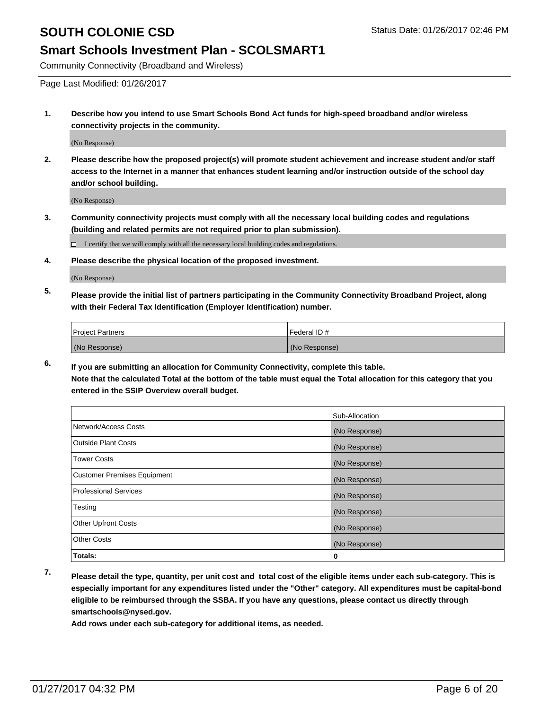### **Smart Schools Investment Plan - SCOLSMART1**

Community Connectivity (Broadband and Wireless)

Page Last Modified: 01/26/2017

**1. Describe how you intend to use Smart Schools Bond Act funds for high-speed broadband and/or wireless connectivity projects in the community.**

(No Response)

**2. Please describe how the proposed project(s) will promote student achievement and increase student and/or staff access to the Internet in a manner that enhances student learning and/or instruction outside of the school day and/or school building.**

(No Response)

**3. Community connectivity projects must comply with all the necessary local building codes and regulations (building and related permits are not required prior to plan submission).**

 $\Box$  I certify that we will comply with all the necessary local building codes and regulations.

**4. Please describe the physical location of the proposed investment.**

(No Response)

**5. Please provide the initial list of partners participating in the Community Connectivity Broadband Project, along with their Federal Tax Identification (Employer Identification) number.**

| <b>Project Partners</b> | I Federal ID # |
|-------------------------|----------------|
| (No Response)           | (No Response)  |

**6. If you are submitting an allocation for Community Connectivity, complete this table. Note that the calculated Total at the bottom of the table must equal the Total allocation for this category that you entered in the SSIP Overview overall budget.**

|                                    | Sub-Allocation |
|------------------------------------|----------------|
| Network/Access Costs               | (No Response)  |
| <b>Outside Plant Costs</b>         | (No Response)  |
| <b>Tower Costs</b>                 | (No Response)  |
| <b>Customer Premises Equipment</b> | (No Response)  |
| <b>Professional Services</b>       | (No Response)  |
| Testing                            | (No Response)  |
| <b>Other Upfront Costs</b>         | (No Response)  |
| <b>Other Costs</b>                 | (No Response)  |
| Totals:                            | 0              |

**7. Please detail the type, quantity, per unit cost and total cost of the eligible items under each sub-category. This is especially important for any expenditures listed under the "Other" category. All expenditures must be capital-bond eligible to be reimbursed through the SSBA. If you have any questions, please contact us directly through smartschools@nysed.gov.**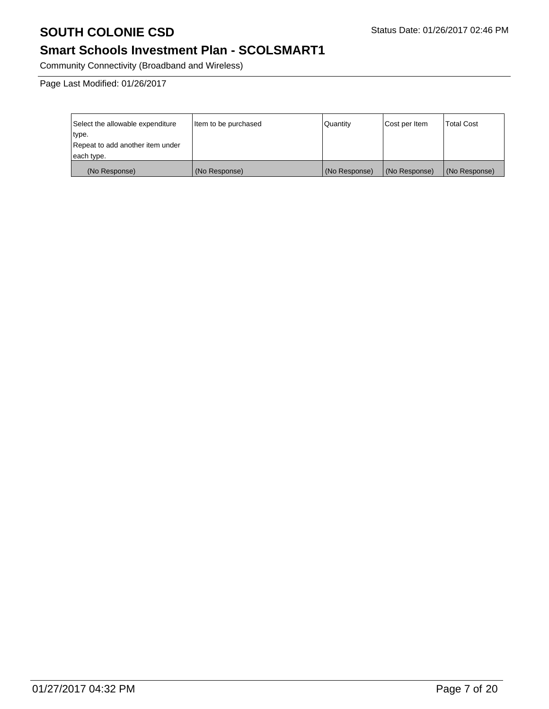## **Smart Schools Investment Plan - SCOLSMART1**

Community Connectivity (Broadband and Wireless)

Page Last Modified: 01/26/2017

| Select the allowable expenditure | Item to be purchased | Quantity      | Cost per Item | Total Cost    |
|----------------------------------|----------------------|---------------|---------------|---------------|
| type.                            |                      |               |               |               |
| Repeat to add another item under |                      |               |               |               |
| each type.                       |                      |               |               |               |
| (No Response)                    | (No Response)        | (No Response) | (No Response) | (No Response) |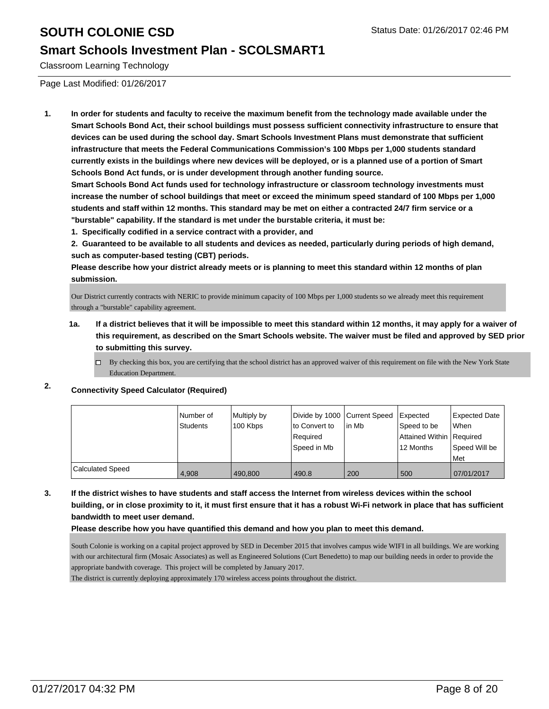### **Smart Schools Investment Plan - SCOLSMART1**

Classroom Learning Technology

Page Last Modified: 01/26/2017

**1. In order for students and faculty to receive the maximum benefit from the technology made available under the Smart Schools Bond Act, their school buildings must possess sufficient connectivity infrastructure to ensure that devices can be used during the school day. Smart Schools Investment Plans must demonstrate that sufficient infrastructure that meets the Federal Communications Commission's 100 Mbps per 1,000 students standard currently exists in the buildings where new devices will be deployed, or is a planned use of a portion of Smart Schools Bond Act funds, or is under development through another funding source.**

**Smart Schools Bond Act funds used for technology infrastructure or classroom technology investments must increase the number of school buildings that meet or exceed the minimum speed standard of 100 Mbps per 1,000 students and staff within 12 months. This standard may be met on either a contracted 24/7 firm service or a "burstable" capability. If the standard is met under the burstable criteria, it must be:**

**1. Specifically codified in a service contract with a provider, and**

**2. Guaranteed to be available to all students and devices as needed, particularly during periods of high demand, such as computer-based testing (CBT) periods.**

**Please describe how your district already meets or is planning to meet this standard within 12 months of plan submission.**

Our District currently contracts with NERIC to provide minimum capacity of 100 Mbps per 1,000 students so we already meet this requirement through a "burstable" capability agreement.

- **1a. If a district believes that it will be impossible to meet this standard within 12 months, it may apply for a waiver of this requirement, as described on the Smart Schools website. The waiver must be filed and approved by SED prior to submitting this survey.**
	- $\Box$  By checking this box, you are certifying that the school district has an approved waiver of this requirement on file with the New York State Education Department.

### **2. Connectivity Speed Calculator (Required)**

|                         | Number of<br>Students | Multiply by<br>100 Kbps | Divide by 1000 Current Speed<br>lto Convert to<br>Required<br>Speed in Mb | l in Mb | <b>Expected</b><br>Speed to be<br>Attained Within   Required<br>12 Months | Expected Date<br>l When<br>Speed Will be<br>l Met |
|-------------------------|-----------------------|-------------------------|---------------------------------------------------------------------------|---------|---------------------------------------------------------------------------|---------------------------------------------------|
| <b>Calculated Speed</b> | 4.908                 | 490.800                 | 490.8                                                                     | 200     | 500                                                                       | 07/01/2017                                        |

**3. If the district wishes to have students and staff access the Internet from wireless devices within the school building, or in close proximity to it, it must first ensure that it has a robust Wi-Fi network in place that has sufficient bandwidth to meet user demand.**

**Please describe how you have quantified this demand and how you plan to meet this demand.**

South Colonie is working on a capital project approved by SED in December 2015 that involves campus wide WIFI in all buildings. We are working with our architectural firm (Mosaic Associates) as well as Engineered Solutions (Curt Benedetto) to map our building needs in order to provide the appropriate bandwith coverage. This project will be completed by January 2017.

The district is currently deploying approximately 170 wireless access points throughout the district.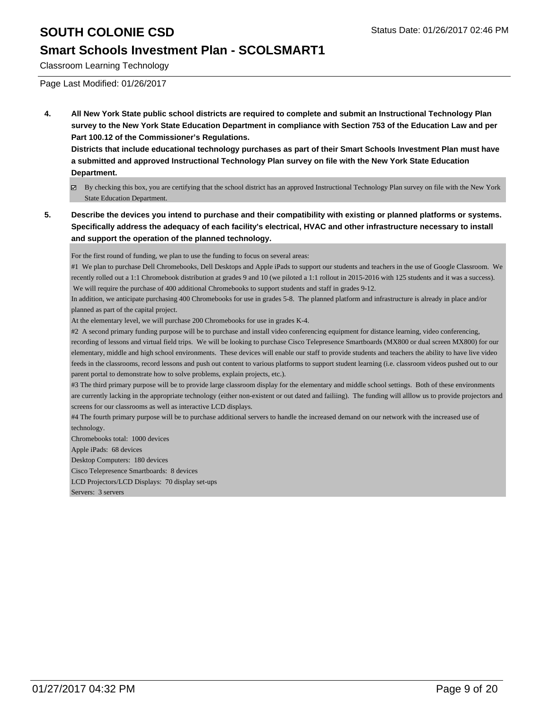### **Smart Schools Investment Plan - SCOLSMART1**

Classroom Learning Technology

Page Last Modified: 01/26/2017

**4. All New York State public school districts are required to complete and submit an Instructional Technology Plan survey to the New York State Education Department in compliance with Section 753 of the Education Law and per Part 100.12 of the Commissioner's Regulations.**

**Districts that include educational technology purchases as part of their Smart Schools Investment Plan must have a submitted and approved Instructional Technology Plan survey on file with the New York State Education Department.**

- By checking this box, you are certifying that the school district has an approved Instructional Technology Plan survey on file with the New York State Education Department.
- **5. Describe the devices you intend to purchase and their compatibility with existing or planned platforms or systems. Specifically address the adequacy of each facility's electrical, HVAC and other infrastructure necessary to install and support the operation of the planned technology.**

For the first round of funding, we plan to use the funding to focus on several areas:

#1 We plan to purchase Dell Chromebooks, Dell Desktops and Apple iPads to support our students and teachers in the use of Google Classroom. We recently rolled out a 1:1 Chromebook distribution at grades 9 and 10 (we piloted a 1:1 rollout in 2015-2016 with 125 students and it was a success). We will require the purchase of 400 additional Chromebooks to support students and staff in grades 9-12.

In addition, we anticipate purchasing 400 Chromebooks for use in grades 5-8. The planned platform and infrastructure is already in place and/or planned as part of the capital project.

At the elementary level, we will purchase 200 Chromebooks for use in grades K-4.

#2 A second primary funding purpose will be to purchase and install video conferencing equipment for distance learning, video conferencing, recording of lessons and virtual field trips. We will be looking to purchase Cisco Telepresence Smartboards (MX800 or dual screen MX800) for our elementary, middle and high school environments. These devices will enable our staff to provide students and teachers the ability to have live video feeds in the classrooms, record lessons and push out content to various platforms to support student learning (i.e. classroom videos pushed out to our parent portal to demonstrate how to solve problems, explain projects, etc.).

#3 The third primary purpose will be to provide large classroom display for the elementary and middle school settings. Both of these environments are currently lacking in the appropriate technology (either non-existent or out dated and failiing). The funding will alllow us to provide projectors and screens for our classrooms as well as interactive LCD displays.

#4 The fourth primary purpose will be to purchase additional servers to handle the increased demand on our network with the increased use of technology.

Chromebooks total: 1000 devices

Apple iPads: 68 devices

Desktop Computers: 180 devices

Cisco Telepresence Smartboards: 8 devices

LCD Projectors/LCD Displays: 70 display set-ups

Servers: 3 servers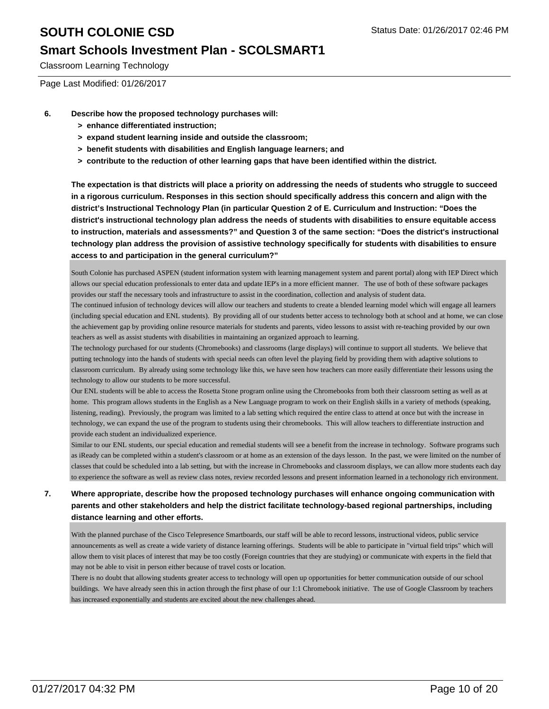Classroom Learning Technology

Page Last Modified: 01/26/2017

- **6. Describe how the proposed technology purchases will:**
	- **> enhance differentiated instruction;**
	- **> expand student learning inside and outside the classroom;**
	- **> benefit students with disabilities and English language learners; and**
	- **> contribute to the reduction of other learning gaps that have been identified within the district.**

**The expectation is that districts will place a priority on addressing the needs of students who struggle to succeed in a rigorous curriculum. Responses in this section should specifically address this concern and align with the district's Instructional Technology Plan (in particular Question 2 of E. Curriculum and Instruction: "Does the district's instructional technology plan address the needs of students with disabilities to ensure equitable access to instruction, materials and assessments?" and Question 3 of the same section: "Does the district's instructional technology plan address the provision of assistive technology specifically for students with disabilities to ensure access to and participation in the general curriculum?"**

South Colonie has purchased ASPEN (student information system with learning management system and parent portal) along with IEP Direct which allows our special education professionals to enter data and update IEP's in a more efficient manner. The use of both of these software packages provides our staff the necessary tools and infrastructure to assist in the coordination, collection and analysis of student data.

The continued infusion of technology devices will allow our teachers and students to create a blended learning model which will engage all learners (including special education and ENL students). By providing all of our students better access to technology both at school and at home, we can close the achievement gap by providing online resource materials for students and parents, video lessons to assist with re-teaching provided by our own teachers as well as assist students with disabilities in maintaining an organized approach to learning.

The technology purchased for our students (Chromebooks) and classrooms (large displays) will continue to support all students. We believe that putting technology into the hands of students with special needs can often level the playing field by providing them with adaptive solutions to classroom curriculum. By already using some technology like this, we have seen how teachers can more easily differentiate their lessons using the technology to allow our students to be more successful.

Our ENL students will be able to access the Rosetta Stone program online using the Chromebooks from both their classroom setting as well as at home. This program allows students in the English as a New Language program to work on their English skills in a variety of methods (speaking, listening, reading). Previously, the program was limited to a lab setting which required the entire class to attend at once but with the increase in technology, we can expand the use of the program to students using their chromebooks. This will allow teachers to differentiate instruction and provide each student an individualized experience.

Similar to our ENL students, our special education and remedial students will see a benefit from the increase in technology. Software programs such as iReady can be completed within a student's classroom or at home as an extension of the days lesson. In the past, we were limited on the number of classes that could be scheduled into a lab setting, but with the increase in Chromebooks and classroom displays, we can allow more students each day to experience the software as well as review class notes, review recorded lessons and present information learned in a techonology rich environment.

### **7. Where appropriate, describe how the proposed technology purchases will enhance ongoing communication with parents and other stakeholders and help the district facilitate technology-based regional partnerships, including distance learning and other efforts.**

With the planned purchase of the Cisco Telepresence Smartboards, our staff will be able to record lessons, instructional videos, public service announcements as well as create a wide variety of distance learning offerings. Students will be able to participate in "virtual field trips" which will allow them to visit places of interest that may be too costly (Foreign countries that they are studying) or communicate with experts in the field that may not be able to visit in person either because of travel costs or location.

There is no doubt that allowing students greater access to technology will open up opportunities for better communication outside of our school buildings. We have already seen this in action through the first phase of our 1:1 Chromebook initiative. The use of Google Classroom by teachers has increased exponentially and students are excited about the new challenges ahead.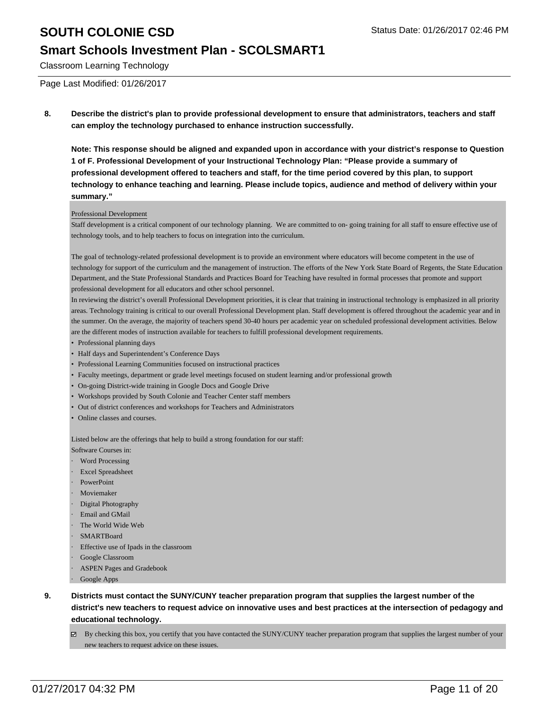### **Smart Schools Investment Plan - SCOLSMART1**

Classroom Learning Technology

Page Last Modified: 01/26/2017

**8. Describe the district's plan to provide professional development to ensure that administrators, teachers and staff can employ the technology purchased to enhance instruction successfully.**

**Note: This response should be aligned and expanded upon in accordance with your district's response to Question 1 of F. Professional Development of your Instructional Technology Plan: "Please provide a summary of professional development offered to teachers and staff, for the time period covered by this plan, to support technology to enhance teaching and learning. Please include topics, audience and method of delivery within your summary."**

#### Professional Development

Staff development is a critical component of our technology planning. We are committed to on- going training for all staff to ensure effective use of technology tools, and to help teachers to focus on integration into the curriculum.

The goal of technology-related professional development is to provide an environment where educators will become competent in the use of technology for support of the curriculum and the management of instruction. The efforts of the New York State Board of Regents, the State Education Department, and the State Professional Standards and Practices Board for Teaching have resulted in formal processes that promote and support professional development for all educators and other school personnel.

In reviewing the district's overall Professional Development priorities, it is clear that training in instructional technology is emphasized in all priority areas. Technology training is critical to our overall Professional Development plan. Staff development is offered throughout the academic year and in the summer. On the average, the majority of teachers spend 30-40 hours per academic year on scheduled professional development activities. Below are the different modes of instruction available for teachers to fulfill professional development requirements.

- Professional planning days
- Half days and Superintendent's Conference Days
- Professional Learning Communities focused on instructional practices
- Faculty meetings, department or grade level meetings focused on student learning and/or professional growth
- On-going District-wide training in Google Docs and Google Drive
- Workshops provided by South Colonie and Teacher Center staff members
- Out of district conferences and workshops for Teachers and Administrators
- Online classes and courses.

Listed below are the offerings that help to build a strong foundation for our staff:

Software Courses in:

- Word Processing
- Excel Spreadsheet
- PowerPoint
- · Moviemaker
- · Digital Photography
- Email and GMail
- · The World Wide Web
- **SMARTBoard**
- · Effective use of Ipads in the classroom
- Google Classroom
- ASPEN Pages and Gradebook
- · Google Apps

### **9. Districts must contact the SUNY/CUNY teacher preparation program that supplies the largest number of the district's new teachers to request advice on innovative uses and best practices at the intersection of pedagogy and educational technology.**

By checking this box, you certify that you have contacted the SUNY/CUNY teacher preparation program that supplies the largest number of your new teachers to request advice on these issues.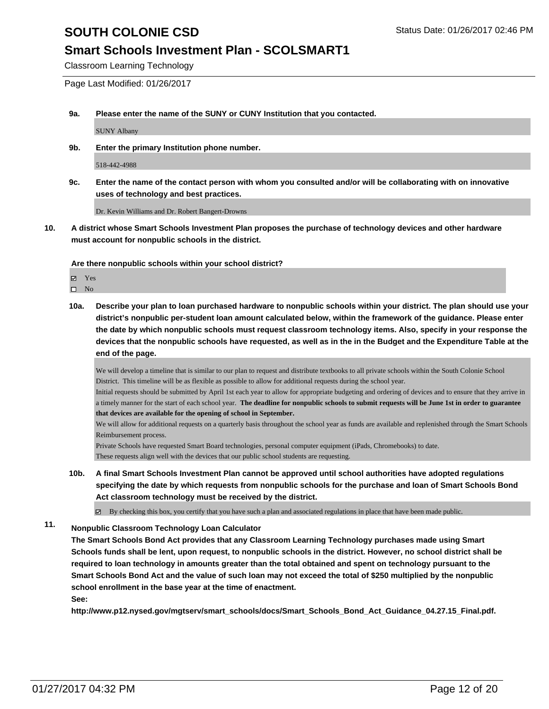### **Smart Schools Investment Plan - SCOLSMART1**

Classroom Learning Technology

Page Last Modified: 01/26/2017

**9a. Please enter the name of the SUNY or CUNY Institution that you contacted.**

SUNY Albany

**9b. Enter the primary Institution phone number.**

518-442-4988

**9c. Enter the name of the contact person with whom you consulted and/or will be collaborating with on innovative uses of technology and best practices.**

Dr. Kevin Williams and Dr. Robert Bangert-Drowns

**10. A district whose Smart Schools Investment Plan proposes the purchase of technology devices and other hardware must account for nonpublic schools in the district.**

**Are there nonpublic schools within your school district?**

Yes

- $\square$  No
- **10a. Describe your plan to loan purchased hardware to nonpublic schools within your district. The plan should use your district's nonpublic per-student loan amount calculated below, within the framework of the guidance. Please enter the date by which nonpublic schools must request classroom technology items. Also, specify in your response the devices that the nonpublic schools have requested, as well as in the in the Budget and the Expenditure Table at the end of the page.**

We will develop a timeline that is similar to our plan to request and distribute textbooks to all private schools within the South Colonie School District. This timeline will be as flexible as possible to allow for additional requests during the school year.

Initial requests should be submitted by April 1st each year to allow for appropriate budgeting and ordering of devices and to ensure that they arrive in a timely manner for the start of each school year. **The deadline for nonpublic schools to submit requests will be June 1st in order to guarantee that devices are available for the opening of school in September.**

We will allow for additional requests on a quarterly basis throughout the school year as funds are available and replenished through the Smart Schools Reimbursement process.

Private Schools have requested Smart Board technologies, personal computer equipment (iPads, Chromebooks) to date. These requests align well with the devices that our public school students are requesting.

**10b. A final Smart Schools Investment Plan cannot be approved until school authorities have adopted regulations specifying the date by which requests from nonpublic schools for the purchase and loan of Smart Schools Bond Act classroom technology must be received by the district.**

 $\boxtimes$  By checking this box, you certify that you have such a plan and associated regulations in place that have been made public.

### **11. Nonpublic Classroom Technology Loan Calculator**

**The Smart Schools Bond Act provides that any Classroom Learning Technology purchases made using Smart Schools funds shall be lent, upon request, to nonpublic schools in the district. However, no school district shall be required to loan technology in amounts greater than the total obtained and spent on technology pursuant to the Smart Schools Bond Act and the value of such loan may not exceed the total of \$250 multiplied by the nonpublic school enrollment in the base year at the time of enactment.**

**See:**

**http://www.p12.nysed.gov/mgtserv/smart\_schools/docs/Smart\_Schools\_Bond\_Act\_Guidance\_04.27.15\_Final.pdf.**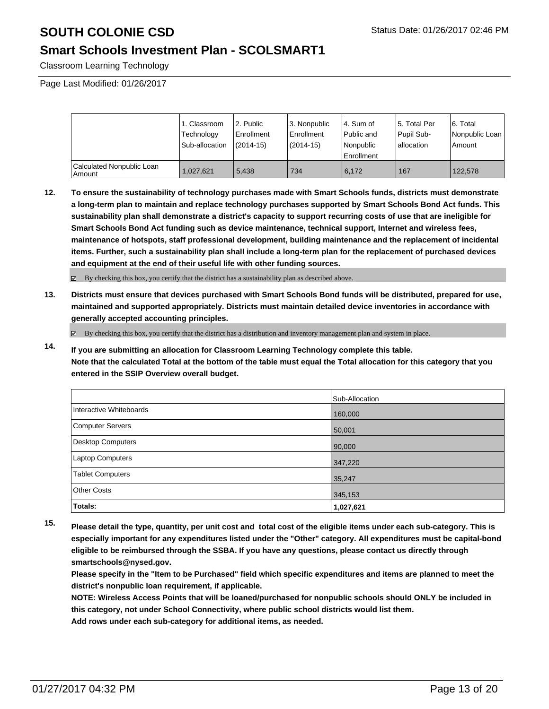## **Smart Schools Investment Plan - SCOLSMART1**

Classroom Learning Technology

Page Last Modified: 01/26/2017

|                                     | 1. Classroom<br>Technology<br>Sub-allocation | 2. Public<br>l Enrollment<br>$(2014-15)$ | 3. Nonpublic<br><b>Enrollment</b><br>(2014-15) | l 4. Sum of<br>Public and<br>Nonpublic<br><b>Enrollment</b> | 5. Total Per<br>Pupil Sub-<br>lallocation | 16. Total<br>l Nonpublic Loan<br>Amount |
|-------------------------------------|----------------------------------------------|------------------------------------------|------------------------------------------------|-------------------------------------------------------------|-------------------------------------------|-----------------------------------------|
| Calculated Nonpublic Loan<br>Amount | 1,027,621                                    | 5.438                                    | 734                                            | 6.172                                                       | 167                                       | 122.578                                 |

**12. To ensure the sustainability of technology purchases made with Smart Schools funds, districts must demonstrate a long-term plan to maintain and replace technology purchases supported by Smart Schools Bond Act funds. This sustainability plan shall demonstrate a district's capacity to support recurring costs of use that are ineligible for Smart Schools Bond Act funding such as device maintenance, technical support, Internet and wireless fees, maintenance of hotspots, staff professional development, building maintenance and the replacement of incidental items. Further, such a sustainability plan shall include a long-term plan for the replacement of purchased devices and equipment at the end of their useful life with other funding sources.**

By checking this box, you certify that the district has a sustainability plan as described above.

**13. Districts must ensure that devices purchased with Smart Schools Bond funds will be distributed, prepared for use, maintained and supported appropriately. Districts must maintain detailed device inventories in accordance with generally accepted accounting principles.**

 $\boxtimes$  By checking this box, you certify that the district has a distribution and inventory management plan and system in place.

**14. If you are submitting an allocation for Classroom Learning Technology complete this table. Note that the calculated Total at the bottom of the table must equal the Total allocation for this category that you entered in the SSIP Overview overall budget.**

|                         | Sub-Allocation |
|-------------------------|----------------|
| Interactive Whiteboards | 160,000        |
| Computer Servers        | 50,001         |
| Desktop Computers       | 90,000         |
| Laptop Computers        | 347,220        |
| Tablet Computers        | 35,247         |
| Other Costs             | 345,153        |
| Totals:                 | 1,027,621      |

**15. Please detail the type, quantity, per unit cost and total cost of the eligible items under each sub-category. This is especially important for any expenditures listed under the "Other" category. All expenditures must be capital-bond eligible to be reimbursed through the SSBA. If you have any questions, please contact us directly through smartschools@nysed.gov.**

**Please specify in the "Item to be Purchased" field which specific expenditures and items are planned to meet the district's nonpublic loan requirement, if applicable.**

**NOTE: Wireless Access Points that will be loaned/purchased for nonpublic schools should ONLY be included in this category, not under School Connectivity, where public school districts would list them.**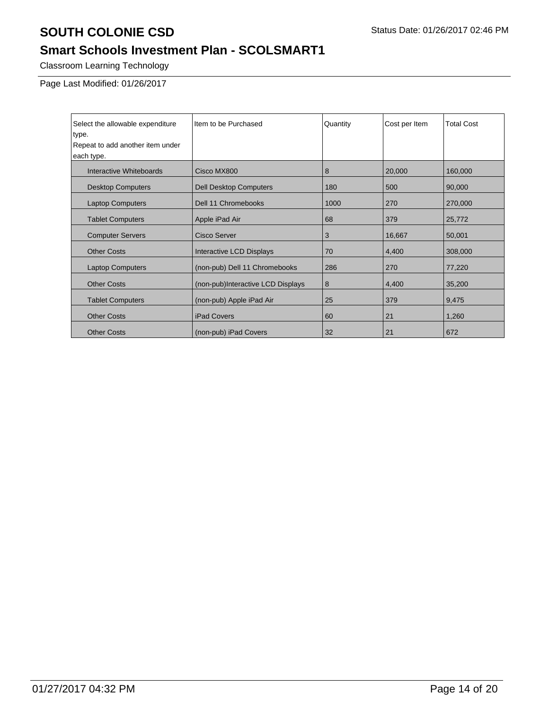# **Smart Schools Investment Plan - SCOLSMART1**

Classroom Learning Technology

Page Last Modified: 01/26/2017

| Select the allowable expenditure | Item to be Purchased              | Quantity | Cost per Item | <b>Total Cost</b> |
|----------------------------------|-----------------------------------|----------|---------------|-------------------|
| type.                            |                                   |          |               |                   |
| Repeat to add another item under |                                   |          |               |                   |
| each type.                       |                                   |          |               |                   |
| Interactive Whiteboards          | Cisco MX800                       | 8        | 20,000        | 160,000           |
| <b>Desktop Computers</b>         | <b>Dell Desktop Computers</b>     | 180      | 500           | 90,000            |
| <b>Laptop Computers</b>          | Dell 11 Chromebooks               | 1000     | 270           | 270,000           |
| <b>Tablet Computers</b>          | Apple iPad Air                    | 68       | 379           | 25,772            |
| <b>Computer Servers</b>          | Cisco Server                      | 3        | 16,667        | 50,001            |
| <b>Other Costs</b>               | Interactive LCD Displays          | 70       | 4,400         | 308,000           |
| <b>Laptop Computers</b>          | (non-pub) Dell 11 Chromebooks     | 286      | 270           | 77,220            |
| <b>Other Costs</b>               | (non-pub)Interactive LCD Displays | 8        | 4,400         | 35,200            |
| <b>Tablet Computers</b>          | (non-pub) Apple iPad Air          | 25       | 379           | 9,475             |
| <b>Other Costs</b>               | <b>iPad Covers</b>                | 60       | 21            | 1,260             |
| <b>Other Costs</b>               | (non-pub) iPad Covers             | 32       | 21            | 672               |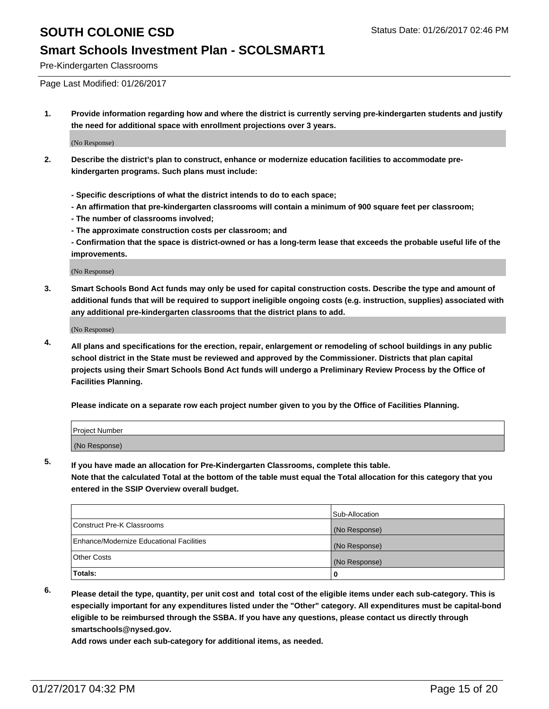Pre-Kindergarten Classrooms

Page Last Modified: 01/26/2017

**1. Provide information regarding how and where the district is currently serving pre-kindergarten students and justify the need for additional space with enrollment projections over 3 years.**

(No Response)

- **2. Describe the district's plan to construct, enhance or modernize education facilities to accommodate prekindergarten programs. Such plans must include:**
	- **Specific descriptions of what the district intends to do to each space;**
	- **An affirmation that pre-kindergarten classrooms will contain a minimum of 900 square feet per classroom;**
	- **The number of classrooms involved;**
	- **The approximate construction costs per classroom; and**
	- **Confirmation that the space is district-owned or has a long-term lease that exceeds the probable useful life of the improvements.**

(No Response)

**3. Smart Schools Bond Act funds may only be used for capital construction costs. Describe the type and amount of additional funds that will be required to support ineligible ongoing costs (e.g. instruction, supplies) associated with any additional pre-kindergarten classrooms that the district plans to add.**

(No Response)

**4. All plans and specifications for the erection, repair, enlargement or remodeling of school buildings in any public school district in the State must be reviewed and approved by the Commissioner. Districts that plan capital projects using their Smart Schools Bond Act funds will undergo a Preliminary Review Process by the Office of Facilities Planning.**

**Please indicate on a separate row each project number given to you by the Office of Facilities Planning.**

| Project Number |  |  |
|----------------|--|--|
| (No Response)  |  |  |

**5. If you have made an allocation for Pre-Kindergarten Classrooms, complete this table.**

**Note that the calculated Total at the bottom of the table must equal the Total allocation for this category that you entered in the SSIP Overview overall budget.**

|                                          | Sub-Allocation |
|------------------------------------------|----------------|
| Construct Pre-K Classrooms               | (No Response)  |
| Enhance/Modernize Educational Facilities | (No Response)  |
| Other Costs                              | (No Response)  |
| Totals:                                  |                |

**6. Please detail the type, quantity, per unit cost and total cost of the eligible items under each sub-category. This is especially important for any expenditures listed under the "Other" category. All expenditures must be capital-bond eligible to be reimbursed through the SSBA. If you have any questions, please contact us directly through smartschools@nysed.gov.**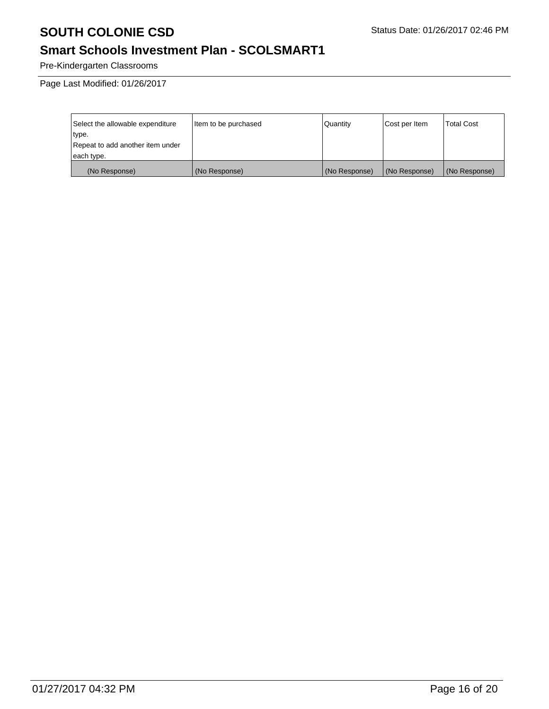## **Smart Schools Investment Plan - SCOLSMART1**

Pre-Kindergarten Classrooms

Page Last Modified: 01/26/2017

| Select the allowable expenditure | Item to be purchased | l Quantitv    | Cost per Item | Total Cost    |
|----------------------------------|----------------------|---------------|---------------|---------------|
| type.                            |                      |               |               |               |
| Repeat to add another item under |                      |               |               |               |
| each type.                       |                      |               |               |               |
| (No Response)                    | (No Response)        | (No Response) | (No Response) | (No Response) |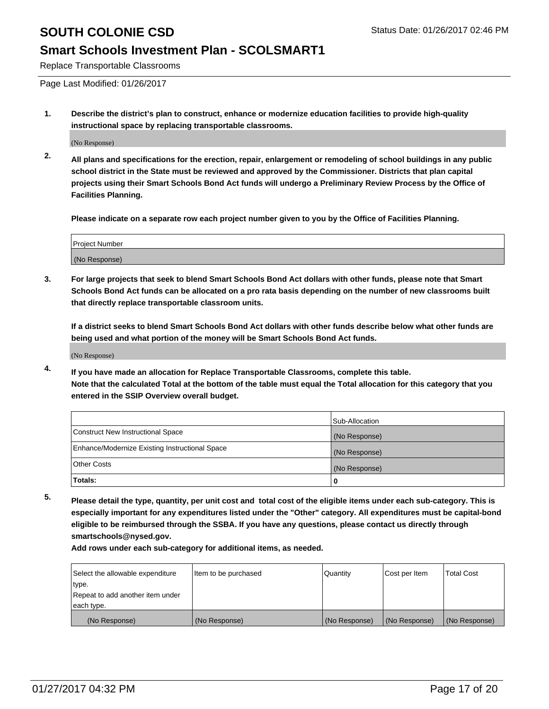### **Smart Schools Investment Plan - SCOLSMART1**

Replace Transportable Classrooms

Page Last Modified: 01/26/2017

**1. Describe the district's plan to construct, enhance or modernize education facilities to provide high-quality instructional space by replacing transportable classrooms.**

(No Response)

**2. All plans and specifications for the erection, repair, enlargement or remodeling of school buildings in any public school district in the State must be reviewed and approved by the Commissioner. Districts that plan capital projects using their Smart Schools Bond Act funds will undergo a Preliminary Review Process by the Office of Facilities Planning.**

**Please indicate on a separate row each project number given to you by the Office of Facilities Planning.**

| <b>Project Number</b> |  |
|-----------------------|--|
| (No Response)         |  |

**3. For large projects that seek to blend Smart Schools Bond Act dollars with other funds, please note that Smart Schools Bond Act funds can be allocated on a pro rata basis depending on the number of new classrooms built that directly replace transportable classroom units.**

**If a district seeks to blend Smart Schools Bond Act dollars with other funds describe below what other funds are being used and what portion of the money will be Smart Schools Bond Act funds.**

(No Response)

**4. If you have made an allocation for Replace Transportable Classrooms, complete this table. Note that the calculated Total at the bottom of the table must equal the Total allocation for this category that you entered in the SSIP Overview overall budget.**

|                                                | Sub-Allocation |
|------------------------------------------------|----------------|
| Construct New Instructional Space              | (No Response)  |
| Enhance/Modernize Existing Instructional Space | (No Response)  |
| <b>Other Costs</b>                             | (No Response)  |
| Totals:                                        |                |

**5. Please detail the type, quantity, per unit cost and total cost of the eligible items under each sub-category. This is especially important for any expenditures listed under the "Other" category. All expenditures must be capital-bond eligible to be reimbursed through the SSBA. If you have any questions, please contact us directly through smartschools@nysed.gov.**

| Select the allowable expenditure | Item to be purchased | Quantity      | Cost per Item | <b>Total Cost</b> |
|----------------------------------|----------------------|---------------|---------------|-------------------|
| type.                            |                      |               |               |                   |
| Repeat to add another item under |                      |               |               |                   |
| each type.                       |                      |               |               |                   |
| (No Response)                    | (No Response)        | (No Response) | (No Response) | (No Response)     |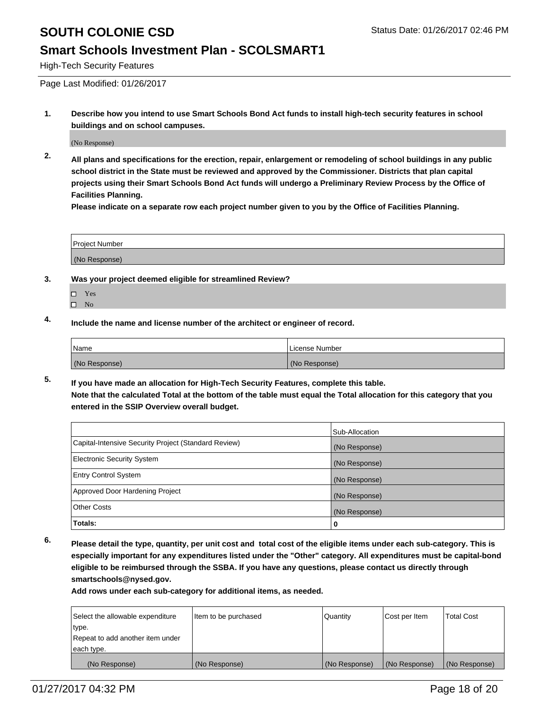### **Smart Schools Investment Plan - SCOLSMART1**

High-Tech Security Features

Page Last Modified: 01/26/2017

**1. Describe how you intend to use Smart Schools Bond Act funds to install high-tech security features in school buildings and on school campuses.**

(No Response)

**2. All plans and specifications for the erection, repair, enlargement or remodeling of school buildings in any public school district in the State must be reviewed and approved by the Commissioner. Districts that plan capital projects using their Smart Schools Bond Act funds will undergo a Preliminary Review Process by the Office of Facilities Planning.** 

**Please indicate on a separate row each project number given to you by the Office of Facilities Planning.**

| <b>Project Number</b> |  |
|-----------------------|--|
| (No Response)         |  |

- **3. Was your project deemed eligible for streamlined Review?**
	- □ Yes
	- $\square$  No
- **4. Include the name and license number of the architect or engineer of record.**

| 'Name         | License Number |
|---------------|----------------|
| (No Response) | (No Response)  |

**5. If you have made an allocation for High-Tech Security Features, complete this table. Note that the calculated Total at the bottom of the table must equal the Total allocation for this category that you entered in the SSIP Overview overall budget.**

|                                                      | Sub-Allocation |
|------------------------------------------------------|----------------|
| Capital-Intensive Security Project (Standard Review) | (No Response)  |
| <b>Electronic Security System</b>                    | (No Response)  |
| <b>Entry Control System</b>                          | (No Response)  |
| Approved Door Hardening Project                      | (No Response)  |
| <b>Other Costs</b>                                   | (No Response)  |
| Totals:                                              | 0              |

**6. Please detail the type, quantity, per unit cost and total cost of the eligible items under each sub-category. This is especially important for any expenditures listed under the "Other" category. All expenditures must be capital-bond eligible to be reimbursed through the SSBA. If you have any questions, please contact us directly through smartschools@nysed.gov.**

| Select the allowable expenditure | Item to be purchased | Quantity      | Cost per Item | <b>Total Cost</b> |
|----------------------------------|----------------------|---------------|---------------|-------------------|
| type.                            |                      |               |               |                   |
| Repeat to add another item under |                      |               |               |                   |
| each type.                       |                      |               |               |                   |
| (No Response)                    | (No Response)        | (No Response) | (No Response) | (No Response)     |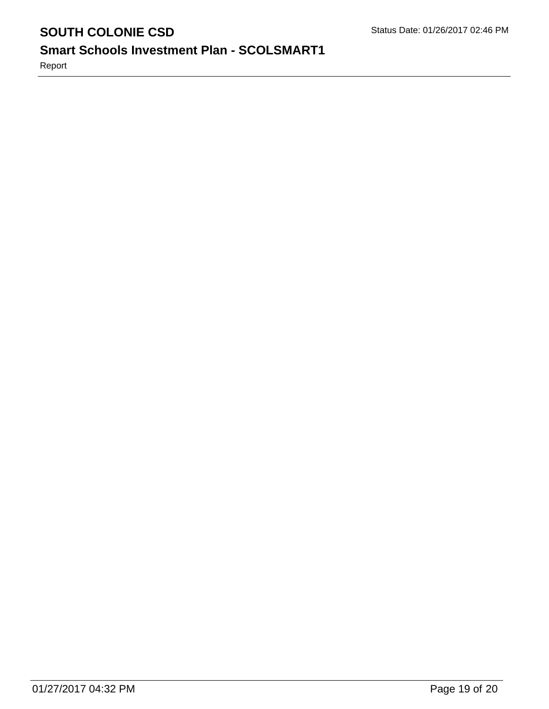## **Smart Schools Investment Plan - SCOLSMART1**

Report